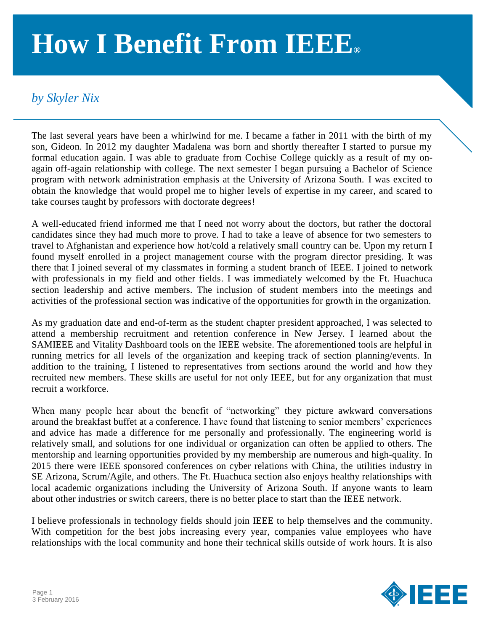## **How I Benefit From IEEE®**

## *by Skyler Nix*

The last several years have been a whirlwind for me. I became a father in 2011 with the birth of my son, Gideon. In 2012 my daughter Madalena was born and shortly thereafter I started to pursue my formal education again. I was able to graduate from Cochise College quickly as a result of my onagain off-again relationship with college. The next semester I began pursuing a Bachelor of Science program with network administration emphasis at the University of Arizona South. I was excited to obtain the knowledge that would propel me to higher levels of expertise in my career, and scared to take courses taught by professors with doctorate degrees!

A well-educated friend informed me that I need not worry about the doctors, but rather the doctoral candidates since they had much more to prove. I had to take a leave of absence for two semesters to travel to Afghanistan and experience how hot/cold a relatively small country can be. Upon my return I found myself enrolled in a project management course with the program director presiding. It was there that I joined several of my classmates in forming a student branch of IEEE. I joined to network with professionals in my field and other fields. I was immediately welcomed by the Ft. Huachuca section leadership and active members. The inclusion of student members into the meetings and activities of the professional section was indicative of the opportunities for growth in the organization.

As my graduation date and end-of-term as the student chapter president approached, I was selected to attend a membership recruitment and retention conference in New Jersey. I learned about the SAMIEEE and Vitality Dashboard tools on the IEEE website. The aforementioned tools are helpful in running metrics for all levels of the organization and keeping track of section planning/events. In addition to the training, I listened to representatives from sections around the world and how they recruited new members. These skills are useful for not only IEEE, but for any organization that must recruit a workforce.

When many people hear about the benefit of "networking" they picture awkward conversations around the breakfast buffet at a conference. I have found that listening to senior members' experiences and advice has made a difference for me personally and professionally. The engineering world is relatively small, and solutions for one individual or organization can often be applied to others. The mentorship and learning opportunities provided by my membership are numerous and high-quality. In 2015 there were IEEE sponsored conferences on cyber relations with China, the utilities industry in SE Arizona, Scrum/Agile, and others. The Ft. Huachuca section also enjoys healthy relationships with local academic organizations including the University of Arizona South. If anyone wants to learn about other industries or switch careers, there is no better place to start than the IEEE network.

I believe professionals in technology fields should join IEEE to help themselves and the community. With competition for the best jobs increasing every year, companies value employees who have relationships with the local community and hone their technical skills outside of work hours. It is also